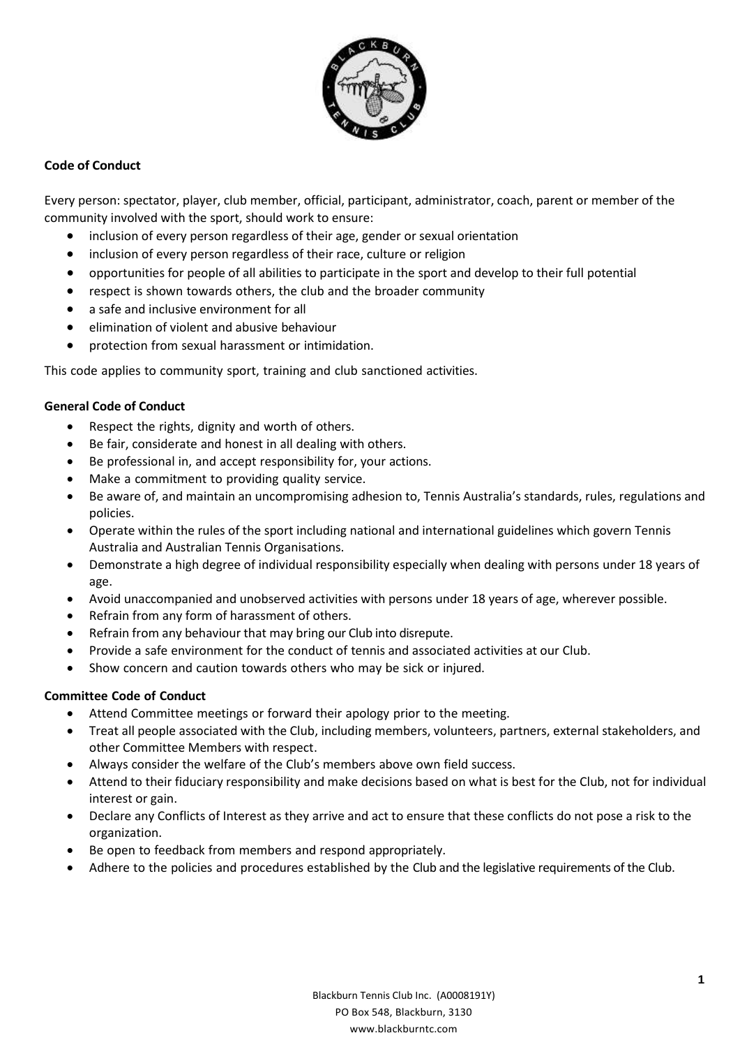

## **Code of Conduct**

Every person: spectator, player, club member, official, participant, administrator, coach, parent or member of the community involved with the sport, should work to ensure:

- inclusion of every person regardless of their age, gender or sexual orientation
- inclusion of every person regardless of their race, culture or religion
- opportunities for people of all abilities to participate in the sport and develop to their full potential
- respect is shown towards others, the club and the broader community
- a safe and inclusive environment for all
- elimination of violent and abusive behaviour
- protection from sexual harassment or intimidation.

This code applies to community sport, training and club sanctioned activities.

## **General Code of Conduct**

- Respect the rights, dignity and worth of others.
- Be fair, considerate and honest in all dealing with others.
- Be professional in, and accept responsibility for, your actions.
- Make a commitment to providing quality service.
- Be aware of, and maintain an uncompromising adhesion to, Tennis Australia's standards, rules, regulations and policies.
- Operate within the rules of the sport including national and international guidelines which govern Tennis Australia and Australian Tennis Organisations.
- Demonstrate a high degree of individual responsibility especially when dealing with persons under 18 years of age.
- Avoid unaccompanied and unobserved activities with persons under 18 years of age, wherever possible.
- Refrain from any form of harassment of others.
- Refrain from any behaviour that may bring our Club into disrepute.
- Provide a safe environment for the conduct of tennis and associated activities at our Club.
- Show concern and caution towards others who may be sick or injured.

# **Committee Code of Conduct**

- Attend Committee meetings or forward their apology prior to the meeting.
- Treat all people associated with the Club, including members, volunteers, partners, external stakeholders, and other Committee Members with respect.
- Always consider the welfare of the Club's members above own field success.
- Attend to their fiduciary responsibility and make decisions based on what is best for the Club, not for individual interest or gain.
- Declare any Conflicts of Interest as they arrive and act to ensure that these conflicts do not pose a risk to the organization.
- Be open to feedback from members and respond appropriately.
- Adhere to the policies and procedures established by the Club and the legislative requirements of the Club.